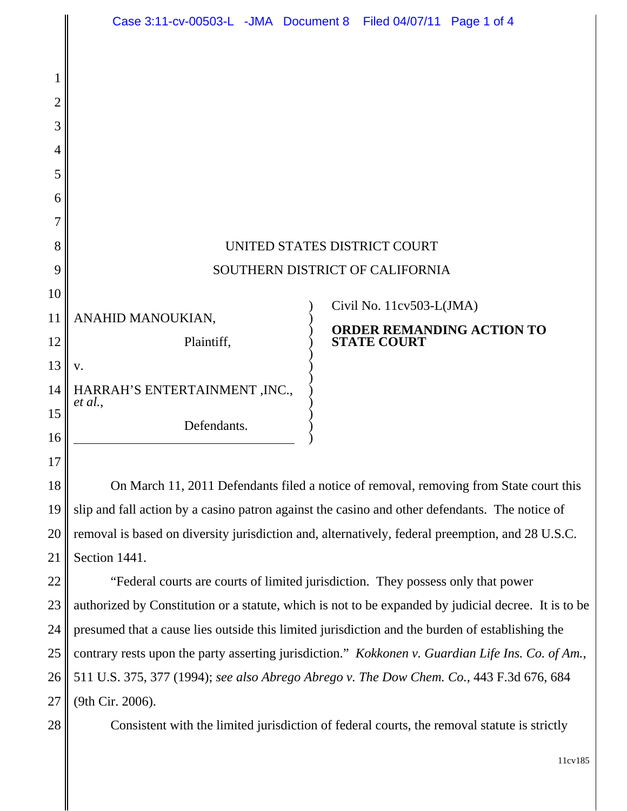|    |                                                                                                      | Case 3:11-cv-00503-L -JMA Document 8 Filed 04/07/11 Page 1 of 4 |  |
|----|------------------------------------------------------------------------------------------------------|-----------------------------------------------------------------|--|
|    |                                                                                                      |                                                                 |  |
| 1  |                                                                                                      |                                                                 |  |
| 2  |                                                                                                      |                                                                 |  |
| 3  |                                                                                                      |                                                                 |  |
| 4  |                                                                                                      |                                                                 |  |
| 5  |                                                                                                      |                                                                 |  |
| 6  |                                                                                                      |                                                                 |  |
| 7  |                                                                                                      |                                                                 |  |
| 8  | UNITED STATES DISTRICT COURT                                                                         |                                                                 |  |
| 9  | SOUTHERN DISTRICT OF CALIFORNIA                                                                      |                                                                 |  |
| 10 |                                                                                                      | Civil No. 11cv503-L(JMA)                                        |  |
| 11 | ANAHID MANOUKIAN,                                                                                    | <b>ORDER REMANDING ACTION TO</b>                                |  |
| 12 | Plaintiff,                                                                                           | <b>STATE COURT</b>                                              |  |
| 13 | V.                                                                                                   |                                                                 |  |
| 14 | HARRAH'S ENTERTAINMENT , INC.,<br>et al.,                                                            |                                                                 |  |
| 15 | Defendants.                                                                                          |                                                                 |  |
| 16 |                                                                                                      |                                                                 |  |
| 17 |                                                                                                      |                                                                 |  |
| 18 | On March 11, 2011 Defendants filed a notice of removal, removing from State court this               |                                                                 |  |
| 19 | slip and fall action by a casino patron against the casino and other defendants. The notice of       |                                                                 |  |
| 20 | removal is based on diversity jurisdiction and, alternatively, federal preemption, and 28 U.S.C.     |                                                                 |  |
| 21 | Section 1441.                                                                                        |                                                                 |  |
| 22 | "Federal courts are courts of limited jurisdiction. They possess only that power                     |                                                                 |  |
| 23 | authorized by Constitution or a statute, which is not to be expanded by judicial decree. It is to be |                                                                 |  |
| 24 | presumed that a cause lies outside this limited jurisdiction and the burden of establishing the      |                                                                 |  |
| 25 | contrary rests upon the party asserting jurisdiction." Kokkonen v. Guardian Life Ins. Co. of Am.,    |                                                                 |  |

26 27 511 U.S. 375, 377 (1994); *see also Abrego Abrego v. The Dow Chem. Co.*, 443 F.3d 676, 684 (9th Cir. 2006).

28

Consistent with the limited jurisdiction of federal courts, the removal statute is strictly

11cv185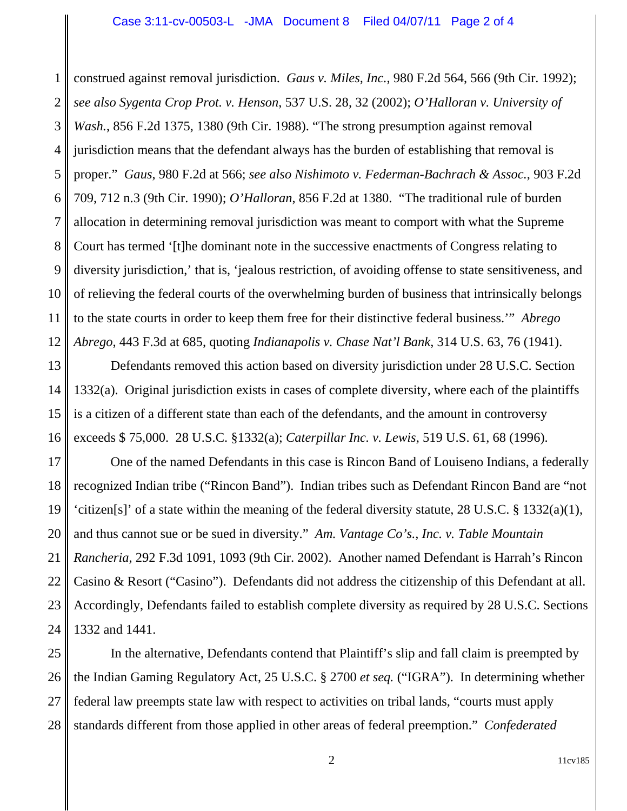1 2 3 4 5 6 7 8 9 10 11 12 construed against removal jurisdiction. *Gaus v. Miles, Inc.*, 980 F.2d 564, 566 (9th Cir. 1992); *see also Sygenta Crop Prot. v. Henson*, 537 U.S. 28, 32 (2002); *O'Halloran v. University of Wash.*, 856 F.2d 1375, 1380 (9th Cir. 1988). "The strong presumption against removal jurisdiction means that the defendant always has the burden of establishing that removal is proper." *Gaus*, 980 F.2d at 566; *see also Nishimoto v. Federman-Bachrach & Assoc.*, 903 F.2d 709, 712 n.3 (9th Cir. 1990); *O'Halloran*, 856 F.2d at 1380. "The traditional rule of burden allocation in determining removal jurisdiction was meant to comport with what the Supreme Court has termed '[t]he dominant note in the successive enactments of Congress relating to diversity jurisdiction,' that is, 'jealous restriction, of avoiding offense to state sensitiveness, and of relieving the federal courts of the overwhelming burden of business that intrinsically belongs to the state courts in order to keep them free for their distinctive federal business.'" *Abrego Abrego*, 443 F.3d at 685, quoting *Indianapolis v. Chase Nat'l Bank*, 314 U.S. 63, 76 (1941).

13 14 15 16 Defendants removed this action based on diversity jurisdiction under 28 U.S.C. Section 1332(a). Original jurisdiction exists in cases of complete diversity, where each of the plaintiffs is a citizen of a different state than each of the defendants, and the amount in controversy exceeds \$ 75,000. 28 U.S.C. §1332(a); *Caterpillar Inc. v. Lewis*, 519 U.S. 61, 68 (1996).

17 18 19 20 21 22 23 24 One of the named Defendants in this case is Rincon Band of Louiseno Indians, a federally recognized Indian tribe ("Rincon Band"). Indian tribes such as Defendant Rincon Band are "not 'citizen[s]' of a state within the meaning of the federal diversity statute, 28 U.S.C. § 1332(a)(1), and thus cannot sue or be sued in diversity." *Am. Vantage Co's., Inc. v. Table Mountain Rancheria*, 292 F.3d 1091, 1093 (9th Cir. 2002). Another named Defendant is Harrah's Rincon Casino & Resort ("Casino"). Defendants did not address the citizenship of this Defendant at all. Accordingly, Defendants failed to establish complete diversity as required by 28 U.S.C. Sections 1332 and 1441.

25 26 27 28 In the alternative, Defendants contend that Plaintiff's slip and fall claim is preempted by the Indian Gaming Regulatory Act, 25 U.S.C. § 2700 *et seq.* ("IGRA"). In determining whether federal law preempts state law with respect to activities on tribal lands, "courts must apply standards different from those applied in other areas of federal preemption." *Confederated*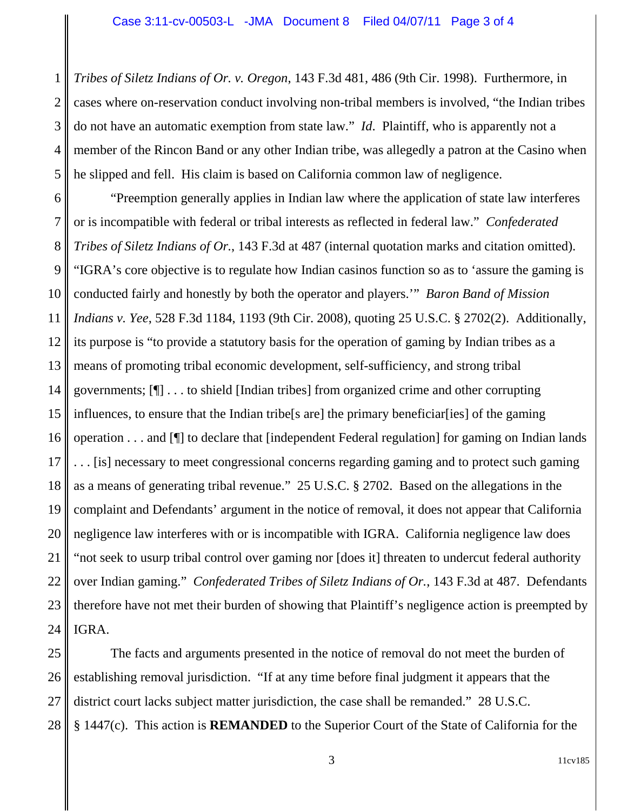1 2 3 4 5 *Tribes of Siletz Indians of Or. v. Oregon*, 143 F.3d 481, 486 (9th Cir. 1998). Furthermore, in cases where on-reservation conduct involving non-tribal members is involved, "the Indian tribes do not have an automatic exemption from state law." *Id*. Plaintiff, who is apparently not a member of the Rincon Band or any other Indian tribe, was allegedly a patron at the Casino when he slipped and fell. His claim is based on California common law of negligence.

6 7 8 9 10 11 12 13 14 15 16 17 18 19 20 21 22 23 24 "Preemption generally applies in Indian law where the application of state law interferes or is incompatible with federal or tribal interests as reflected in federal law." *Confederated Tribes of Siletz Indians of Or.*, 143 F.3d at 487 (internal quotation marks and citation omitted). "IGRA's core objective is to regulate how Indian casinos function so as to 'assure the gaming is conducted fairly and honestly by both the operator and players.'" *Baron Band of Mission Indians v. Yee*, 528 F.3d 1184, 1193 (9th Cir. 2008), quoting 25 U.S.C. § 2702(2). Additionally, its purpose is "to provide a statutory basis for the operation of gaming by Indian tribes as a means of promoting tribal economic development, self-sufficiency, and strong tribal governments; [¶] . . . to shield [Indian tribes] from organized crime and other corrupting influences, to ensure that the Indian tribe[s are] the primary beneficiar[ies] of the gaming operation . . . and [¶] to declare that [independent Federal regulation] for gaming on Indian lands . . . [is] necessary to meet congressional concerns regarding gaming and to protect such gaming as a means of generating tribal revenue." 25 U.S.C. § 2702. Based on the allegations in the complaint and Defendants' argument in the notice of removal, it does not appear that California negligence law interferes with or is incompatible with IGRA. California negligence law does "not seek to usurp tribal control over gaming nor [does it] threaten to undercut federal authority over Indian gaming." *Confederated Tribes of Siletz Indians of Or.*, 143 F.3d at 487. Defendants therefore have not met their burden of showing that Plaintiff's negligence action is preempted by IGRA.

25 26 27 28 The facts and arguments presented in the notice of removal do not meet the burden of establishing removal jurisdiction. "If at any time before final judgment it appears that the district court lacks subject matter jurisdiction, the case shall be remanded." 28 U.S.C. § 1447(c). This action is **REMANDED** to the Superior Court of the State of California for the